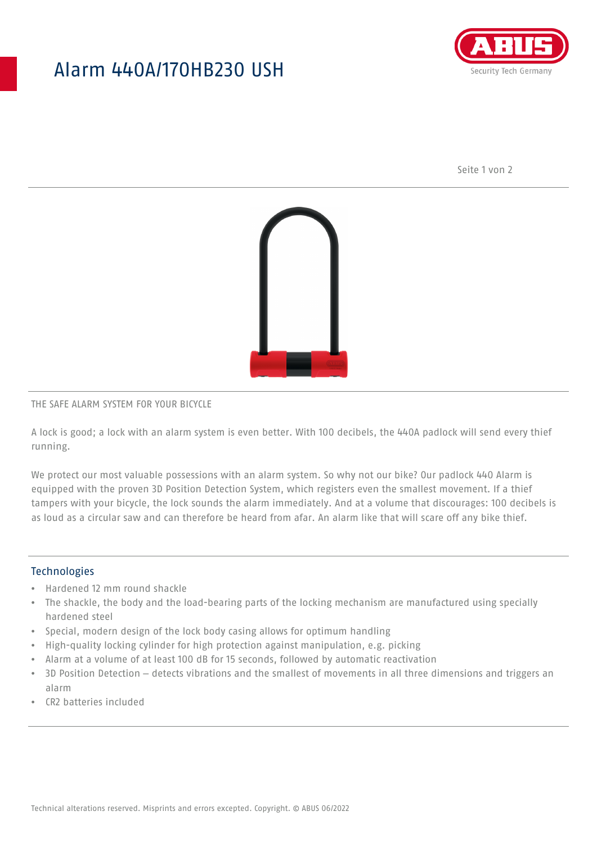## Alarm 440A/170HB230 USH



Seite 1 von 2



#### THE SAFE ALARM SYSTEM FOR YOUR BICYCLE

A lock is good; a lock with an alarm system is even better. With 100 decibels, the 440A padlock will send every thief running.

We protect our most valuable possessions with an alarm system. So why not our bike? Our padlock 440 Alarm is equipped with the proven 3D Position Detection System, which registers even the smallest movement. If a thief tampers with your bicycle, the lock sounds the alarm immediately. And at a volume that discourages: 100 decibels is as loud as a circular saw and can therefore be heard from afar. An alarm like that will scare off any bike thief.

#### **Technologies**

- Hardened 12 mm round shackle
- The shackle, the body and the load-bearing parts of the locking mechanism are manufactured using specially hardened steel
- Special, modern design of the lock body casing allows for optimum handling
- High-quality locking cylinder for high protection against manipulation, e.g. picking
- Alarm at a volume of at least 100 dB for 15 seconds, followed by automatic reactivation
- 3D Position Detection detects vibrations and the smallest of movements in all three dimensions and triggers an alarm
- CR2 batteries included